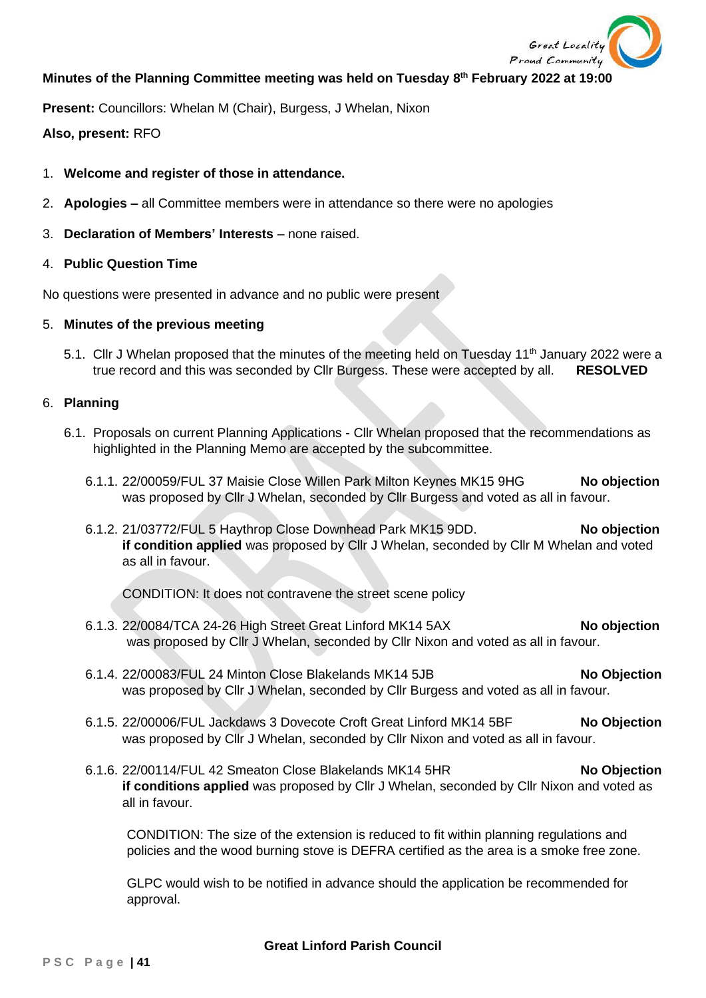

# **Minutes of the Planning Committee meeting was held on Tuesday 8 th February 2022 at 19:00**

**Present:** Councillors: Whelan M (Chair), Burgess, J Whelan, Nixon

## **Also, present:** RFO

### 1. **Welcome and register of those in attendance.**

- 2. **Apologies –** all Committee members were in attendance so there were no apologies
- 3. **Declaration of Members' Interests** none raised.

#### 4. **Public Question Time**

No questions were presented in advance and no public were present

#### 5. **Minutes of the previous meeting**

5.1. Cllr J Whelan proposed that the minutes of the meeting held on Tuesday 11<sup>th</sup> January 2022 were a true record and this was seconded by Cllr Burgess. These were accepted by all. **RESOLVED**

#### 6. **Planning**

- 6.1. Proposals on current Planning Applications Cllr Whelan proposed that the recommendations as highlighted in the Planning Memo are accepted by the subcommittee.
	- 6.1.1. 22/00059/FUL 37 Maisie Close Willen Park Milton Keynes MK15 9HG **No objection** was proposed by Cllr J Whelan, seconded by Cllr Burgess and voted as all in favour.
	- 6.1.2. 21/03772/FUL 5 Haythrop Close Downhead Park MK15 9DD. **No objection if condition applied** was proposed by Cllr J Whelan, seconded by Cllr M Whelan and voted as all in favour.

CONDITION: It does not contravene the street scene policy

- 6.1.3. 22/0084/TCA 24-26 High Street Great Linford MK14 5AX **No objection** was proposed by Cllr J Whelan, seconded by Cllr Nixon and voted as all in favour.
- 6.1.4. 22/00083/FUL 24 Minton Close Blakelands MK14 5JB **No Objection** was proposed by Cllr J Whelan, seconded by Cllr Burgess and voted as all in favour.
- 6.1.5. 22/00006/FUL Jackdaws 3 Dovecote Croft Great Linford MK14 5BF **No Objection** was proposed by Cllr J Whelan, seconded by Cllr Nixon and voted as all in favour.
- 6.1.6. 22/00114/FUL 42 Smeaton Close Blakelands MK14 5HR **No Objection if conditions applied** was proposed by Cllr J Whelan, seconded by Cllr Nixon and voted as all in favour.

CONDITION: The size of the extension is reduced to fit within planning regulations and policies and the wood burning stove is DEFRA certified as the area is a smoke free zone.

GLPC would wish to be notified in advance should the application be recommended for approval.